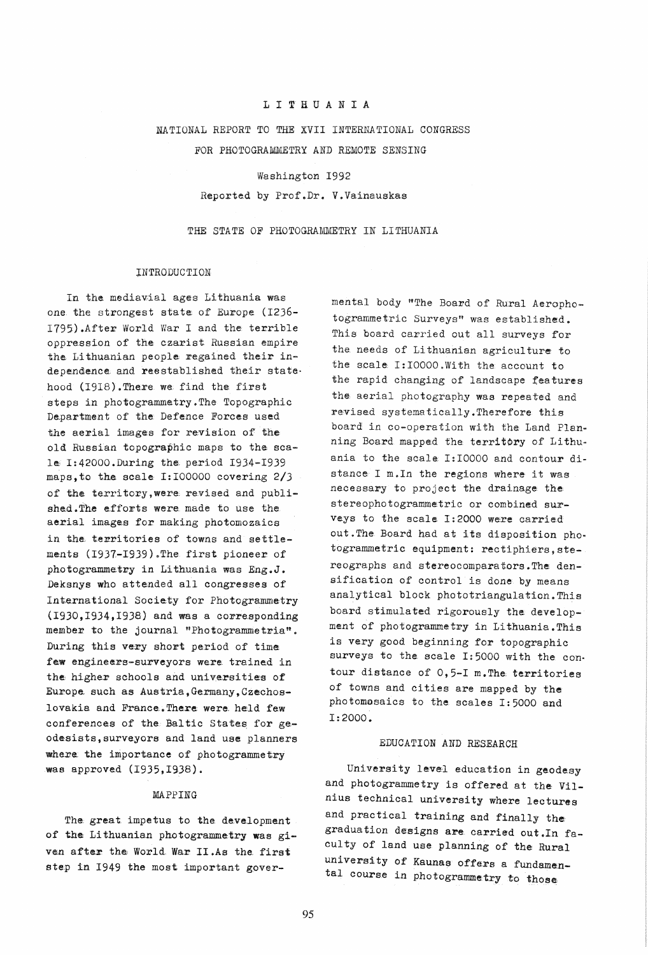# LITHUANIA

# NATIONAL REPORT TO THE XVII INTERNATIONAL CONGRESS

FOR PHOTOGRAMMETRY AND REMOTE SENSING

## Washington 1992

## Reported by Prof.Dr. V.Vainauskas

# THE STATE OF PHOTOGRAMMETRY IN LITHUANIA

## INTRODUCTION

In the mediavial ages Lithuania was one the strongest state of Europe (1236-1795). After World War I and the terrible oppression of the czarist Russian empire the Lithuanian people regained their independence and reestablished their state. hood (1918). There we find the first steps in photogrammetry. The Topographic Department of the Defence Forces used the aerial images for revision of the old Russian topographic maps to the scale I:42000.During the period 1934-1939 maps, to the scale I: 100000 covering 2/3 of the territory, were revised and published. The efforts were made to use the aerial images for making photomozaics in the territories of towns and settlements (1937-1939). The first pioneer of photogrammetry in Lithuania was Eng.J. Deksnys who attended all congresses of International Society for Photogrammetry  $(1930, 1934, 1938)$  and was a corresponding member to the journal "Photogrammetria". During this very short period of time few engineers-surveyors were trained in the higher schools and universities of Europe such as Austria, Germany, Czechoslovakia and France. There were held few conferences of the Baltic States for geodesists, surveyors and land use planners where the importance of photogrammetry was approved (1935,1938).

## MAPPING

The great impetus to the development of the Lithuanian photogrammetry was given after the World War II.As the first step in 1949 the most important gover-

mental body "The Board of Rural Aerophotogrammetric Surveys" was established. This board carried out all surveys for the needs of Lithuanian agriculture to the scale I:10000.With the account to the rapid changing of landscape features the aerial photography was repeated and revised systematically. Therefore this board in co-operation with the Land Planning Board mapped the territory of Lithuania to the scale I:10000 and contour distance I m. In the regions where it was necessary to project the drainage the stereophotogrammetric or combined surveys to the scale I:2000 were carried out. The Board had at its disposition photogrammetric equipment: rectiphiers, stereographs and stereocomparators. The densification of control is done by means analytical block phototriangulation. This board stimulated rigorously the development of photogrammetry in Lithuania. This is very good beginning for topographic surveys to the scale I:5000 with the contour distance of 0,5-I m. The territories of towns and cities are mapped by the photomosaics to the scales I:5000 and I:2000.

## EDUCATION AND RESEARCH

University level education in geodesy and photogrammetry is offered at the Vilnius technical university where lectures and practical training and finally the graduation designs are carried out. In faculty of land use planning of the Rural university of Kaunas offers a fundamental course in photogrammetry to those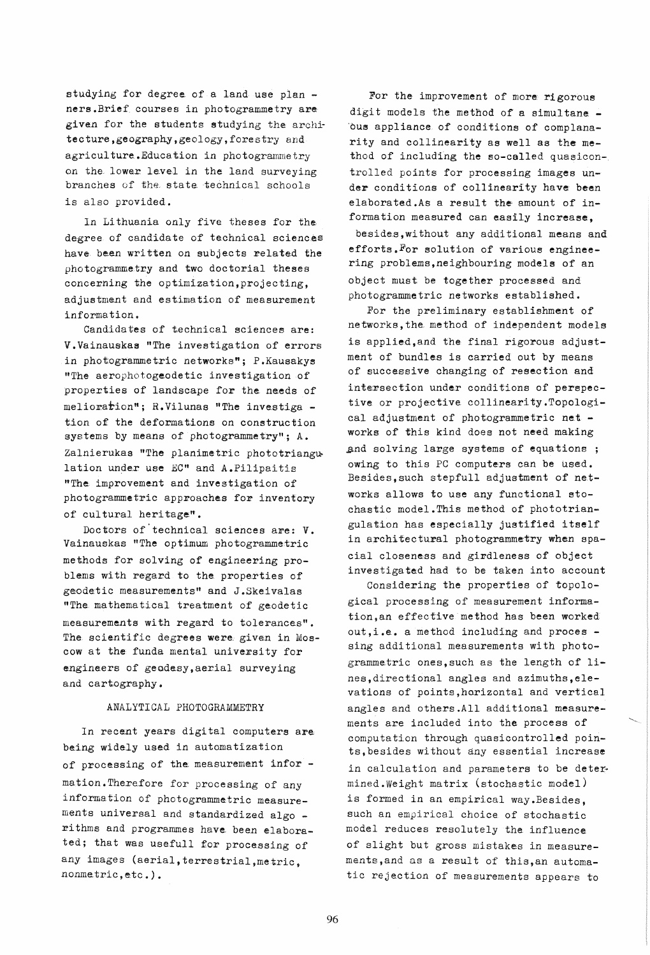studying for degree of a land use plan ners.Brief courses in photogrammetry are given for the students studying the architecture,geography,geology,forestry and agriculture.Education in photogrammetry on the lower level in the land surveying branches of the, state. technical schools is also provided.

In Lithuania only five theses for the degree of candidate of technical sciences have been written on subjects related the photogrammetry and two doctorial theses concerning the optimization, projecting, adjustment and estimation of measurement information.

Candidates of technical sciences are: Y.Yainauskas "The investigation of errors in photogrammetric networks"; P.Kausakys "The aerophotogeodetic investigation of properties of landscape for the needs of  $melioration$ "; R. Vilunas "The investiga tion of the deformations on construction systems by means of photogrammetry"; A. Zalnierukas "The planimetric phototriangulation under use EC" and A.Pilipaitis "The improvement and investigation of photogrammetric approaches for inventory of cultural heritage".

Doctors of technical sciences are: V. Vainauskas "The optimum photogrammetric methods for solving of engineering problems with regard to the properties of geodetic measurements" and J.Skeivalas "The mathematical treatment of geodetic measurements with regard to tolerances". The scientific degrees were given in Moscow at the funda mental university for engineers of geodesy, aerial surveying and cartography.

# ANALYTICAL PHOTOGRAMMETRY

In recent years digital computers are being widely used in automatization of processing of the measurement infor mation.Therefore for processing of any information of photogrammetric measurements universal and standardized algo ri thms and programmes have. been elaborated; that was usefull for processing of any images (aerial, terrestrial, metric, nonmatric,etc.).

For the improvement of more rigorous digit models the method of a simultane ous appliance of conditions of complanarity and collinearity as well as the method of including the so-called quasicontrolled points for processing images under conditions of collinearity have been elaborated.As a result the amount of information measured can easily increase. besides, without any additional means and efforts.For solution of various enginee-

ring problems, neighbouring models of an object must be together processed and photogrammetric networks established.

For the preliminary establishment of networks, the method of independent models is applied,and the final rigorous adjustment of bundles is carried out by means of successive changing of resection and intersection under conditions of perspective or projective collinearity.Topological adjustment of photogrammetric net  $$ works of this kind does not need making and solving large systems of equations; owing to this PC computers can be used. Besides,such stepfull adjustment of networks allows to use any functional stochastic model.This method of phototriangulation has especially justified itself in architectural photogrammetry when spacial closeness and girdleness of object investigated had to be taken into account

Considering the properties of topological processing of measurement information,an effective method has been worked out, i.e. a method including and proces sing additional measurements with photogrammetric ones,such as the length of lines,directional angles and azimuths,elevations of points,horizontal and vertical angles and others.All additional measurements are included into the process of computation through quasicontrolled points,besides without any essential increase in calculation and parameters to be determined.Weight matrix (stochastic model) is formed in an empirical way.Besides, such an empirical choice of stochastic model reduces resolutely the influence of slight but gross mistakes in measurements,and as a result of this,an automatic rejection of measurements appears to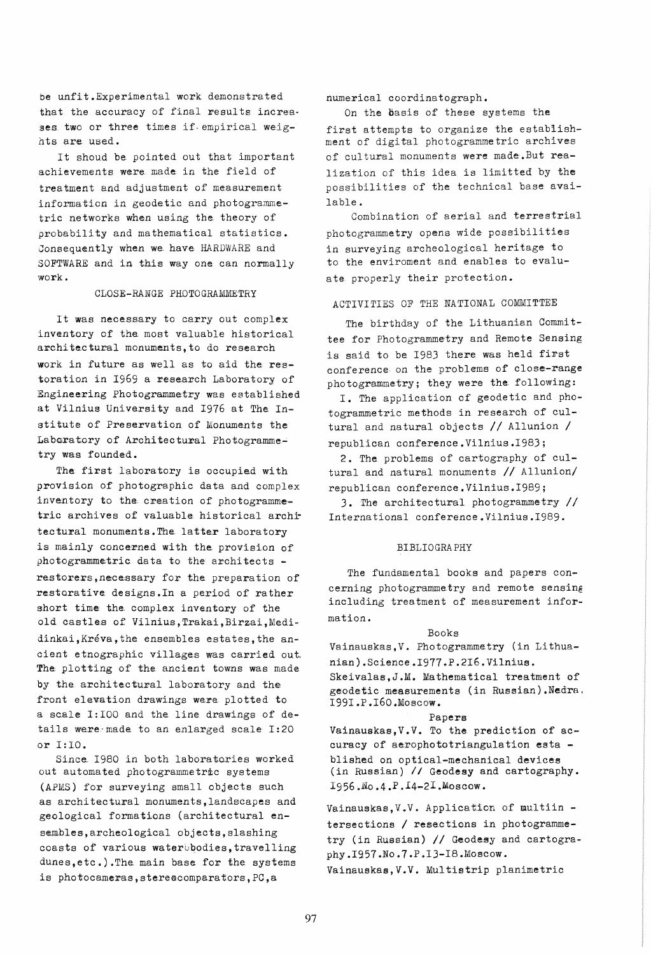be unfit. Experimental work demonstrated that the accuracy of final results increases two or three times if empirical weights are used.

It shoud be pointed out that important achievements were made in the field of treatment and adjustment of measurement information in geodetic and photogrammetric networks when using the theory of probability and mathematical statistics. Consequently when we have HARDWARE and SOFTWARE and in this way one can normally  $work.$ 

### CLOSE-RANGE PHOTOGRAMMETRY

It was necessary to carry out complex inventory of the most valuable historical architectural monuments, to do research work in future as well as to aid the restoration in 1969 a research Laboratory of Engineering Photogrammetry was established at Vilnius University and 1976 at The Institute of Preservation of Monuments the Laboratory of Architectural Photogrammetry was founded.

The first laboratory is occupied with provision of photographic data and complex inventory to the creation of photogrammetric archives of valuable historical architectural monuments. The latter laboratory is mainly concerned with the provision of photogrammetric data to the architects restorers, necessary for the preparation of restorative designs. In a period of rather short time the complex inventory of the old castles of Vilnius, Trakai, Birzai, Medidinkai, Kréva, the ensembles estates, the ancient etnographic villages was carried out. The plotting of the ancient towns was made by the architectural laboratory and the front elevation drawings were plotted to a scale I:100 and the line drawings of details were made to an enlarged scale I:20 or I:10.

Since 1980 in both laboratories worked out automated photogrammetric systems (APMS) for surveying small objects such as architectural monuments, landscapes and geological formations (architectural ensembles, archeological objects, slashing coasts of various water bodies, travelling dunes, etc.). The main base for the systems is photocameras, stereocomparators, PC, a

numerical coordinatograph.

On the basis of these systems the first attempts to organize the establishment of digital photogrammetric archives of cultural monuments were made.But realization of this idea is limitted by the possibilities of the technical base avai- $J$ able.

Combination of aerial and terrestrial photogrammetry opens wide possibilities in surveying archeological heritage to to the enviroment and enables to evaluate properly their protection.

## ACTIVITIES OF THE NATIONAL COMMITTEE

The birthday of the Lithuanian Committee for Photogrammetry and Remote Sensing is said to be 1983 there was held first conference on the problems of close-range photogrammetry; they were the following:

I. The application of geodetic and photogrammetric methods in research of cultural and natural objects // Allunion / republican conference. Vilnius. 1983;

2. The problems of cartography of cultural and natural monuments // Allunion/ republican conference. Vilnius. 1989;

3. The architectural photogrammetry // International conference. Vilnius. 1989.

## **BIBLIOGRAPHY**

The fundamental books and papers concerning photogrammetry and remote sensing including treatment of measurement information.

#### Books

Vainauskas, V. Photogrammetry (in Lithuanian). Science. 1977. P.216. Vilnius. Skeivalas, J.M. Mathematical treatment of geodetic measurements (in Russian). Nedra. 1991.P.160.Moscow.

### Papers

Vainauskas, V.V. To the prediction of accuracy of aerophototriangulation esta blished on optical-mechanical devices (in Russian) // Geodesy and cartography. 1956.No.4.P.I4-2I.Moscow.

Vainauskas, V.V. Application of multiin tersections / resections in photogrammetry (in Russian) // Geodesy and cartography.1957.No.7.P.13-18.Moscow. Vainauskas, V.V. Multistrip planimetric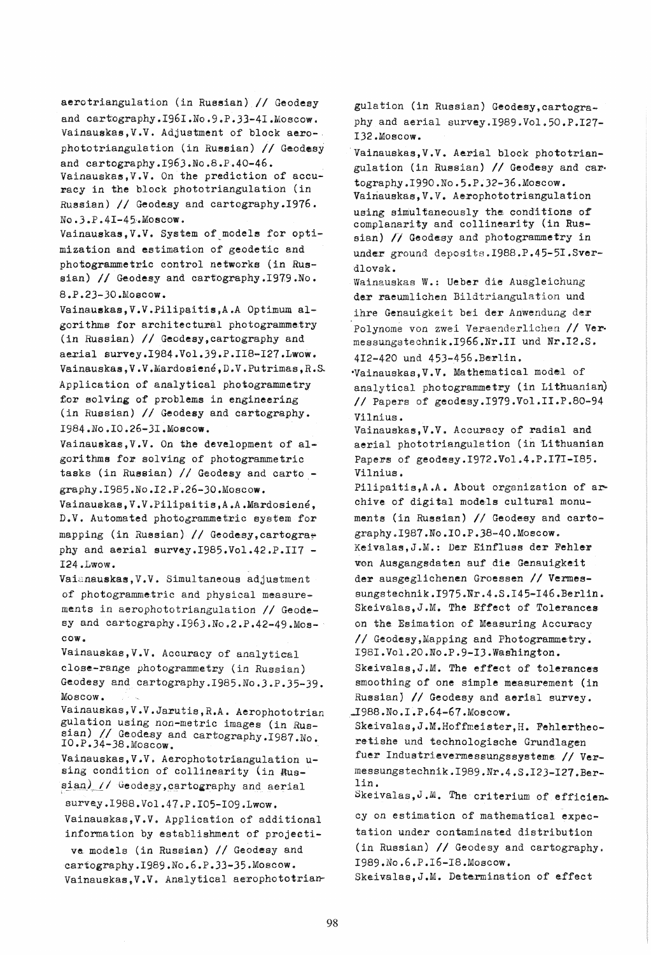aerotriangulation (in Russian) *II* Geodesy and cartography. 1961. No. 9.P. 33-41. Moscow. Vainauskas,V.V. Adjustment of block aero-, phototriangulation (in Russian) // Geodesy and cartography.1963.No.8.P.40-46. Vainauskas, V.V. On the prediction of accu-

racy in the block phototriangulation (in Russian) *II* Geodesy and cartography.1976. No.3.P.41-45.Moscow.

Vainauskas, V.V. System of models for optimization and estimation of geodetic and photogrammetric control networks (in Russian) // Geodesy and cartography.1979.No. 8.P.23-JO.Moscow.

Vainauskas, V.V. Pilipaitis, A.A Optimum algorithms for architectural photogrammetry (in Russian) // Geodesy, cartography and aerial survey.1984.Vol.39.P.II8-127.Lwow. Vainauskas,V.V.Mardosiene,D.V.Putrimas,R.& Application of analytical photogrammetry tor solving of problems in engineering (in Russian) *II* Geodesy and cartography. 1984.No.10.26-J1.Moscow.

Vainauskas, V.V. On the development of algorithms for solving of photogrammetric tasks (in Russian) // Geodesy and carto graphy.1985.No.12.P.26-30.Moscow.

Vainauskas,V.V.Pilipaitis,A.A.Mardosiene, D.V. Automated photogrammetric system for mapping (in Russian) // Geodesy, cartography and aerial survey.1985.Vol.42.P.II7 -124.Lwow.

Vaianauskas, V.V. Simultaneous adjustment of photogrammetric and physical measurements in aerophototriangulation *II* Geodesy and cartography.1963.No.2.P.42-49.Moscow.

Vainauakas,V.V. Accuracy of analytieal close-range photogrammetry (in Russian) Geodesy and cartography.1985.No.3.P.35-39. Moscow.

Vainauskas, V.V.Jarutis, R.A. Aerophototrian gulation using non-metric images (in Russian) // Geodesy and cartography.1987.No.<br>10.P.34-38.Moscow.

Vainauskas, V.V. Aerophototriangulation using condition of collinearity (in Rus $sian$ ) // Geodesy, cartography and aerial

survey.I988.Vol.47.P.I05-109.1wow. Vainauskas,V.V. Application of additional information by establishment of projective. models (in Russian) *II* Geodesy and cartography.1989.No.6.P.33-35.Moscow. Vainauskas, V.V. Analytical aerophototriangulation (in Russian) Geodesy,cartography and aerial survey.1989.Vol.50.P.127- 132.Moscow.

Vainauskas, V.V. Aerial block phototriangulation (in Russian) *II* Geodesy and cartography.1990.No.5.P.32-36.Moscow. Vainauskas, V.V. Aerophototriangulation using simultaneously the conditions of complanarity and collinearity (in Russian) // Geodesy and photogrammetry in under ground deposits.1988.P.45-51.Sverdlovsk.

Wainauskas W.: Ueber die Ausgleichung der raeumlichen Bildtriangulation und ihre Genauigkeit bei der Anwendung der Polynome von zwei Veraenderlichen // Vermessungstechnik.1966.Nr.1I und Nr.12.S. 412-420 und 453-456.Berlin.

'Vainauskas, V.V. Mathematical model of analytical photogrammetry (in Lithuanian) *II* Papers of geodesy.1979.Vol.1I.P.80-94 Vilnius.

Vainauskas,V.V. Accuracy of radial and aerial phototriangulation (in Lithuanian Papers of geodesy.1972.Vol.4.P.17I-185. Vilnius.

Pilipaitis, A.A. About organization of archive of digital models cultural monuments (in Russian) // Geodesy and cartography.1987.No.10.P.38-40.Moscow. Keivalas, J.M.: Der Einfluss der Fehler von Ausgangsdaten auf die Genauigkeit der ausgeglichenen Groessen *II* Vermessungstechnik.I975.Nr.4.S.145-146.Berlin. Skeivalas, J.M. The Effect of Tolerances on the Esimation of Measuring Accuracy // Geodesy, Mapping and Photogrammetry. 1981.Vol.20.No.P.9-I3.Wasnington. Skeivalas, J.M. The effect of tolerances smoothing of one simple measurement (in Russian) *II* Geodesy and aerial survey. -I988.No.1.P.64-67.Moscow.

Skeivalas, J.M. Hoffmeister, H. Fehlertheoretishe und technologische Grundlagen fuer Industrievermessungssysteme // Vermessungstechnik.1989.Nr.4.S.123-127.Berlin.

Skeivalas,  $J.M.$  The criterium of efficien-

cy on estimation of mathematical expectation under contaminated distribution (in Russian) // Geodesy and cartography. 1989.No.6.P.16-18.Moscow.

Skeivalas, J.M. Determination of effect